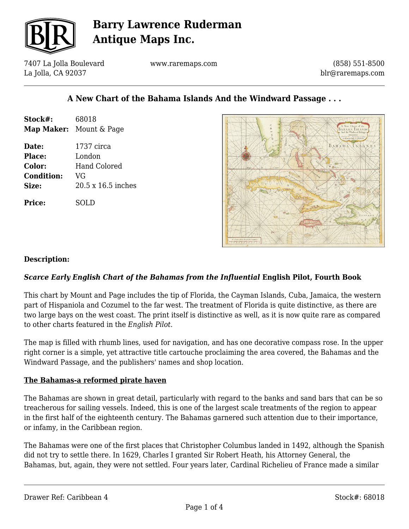

7407 La Jolla Boulevard La Jolla, CA 92037

www.raremaps.com

(858) 551-8500 blr@raremaps.com

### **A New Chart of the Bahama Islands And the Windward Passage . . .**

| Stock#:           | 68018                          |
|-------------------|--------------------------------|
|                   | <b>Map Maker:</b> Mount & Page |
| Date:             | 1737 circa                     |
| Place:            | London                         |
| Color:            | <b>Hand Colored</b>            |
| <b>Condition:</b> | VG                             |
| Size:             | 20.5 x 16.5 inches             |
| Price:            | SOLD                           |



#### **Description:**

#### *Scarce Early English Chart of the Bahamas from the Influential* **English Pilot, Fourth Book**

This chart by Mount and Page includes the tip of Florida, the Cayman Islands, Cuba, Jamaica, the western part of Hispaniola and Cozumel to the far west. The treatment of Florida is quite distinctive, as there are two large bays on the west coast. The print itself is distinctive as well, as it is now quite rare as compared to other charts featured in the *English Pilot.*

The map is filled with rhumb lines, used for navigation, and has one decorative compass rose. In the upper right corner is a simple, yet attractive title cartouche proclaiming the area covered, the Bahamas and the Windward Passage, and the publishers' names and shop location.

#### **The Bahamas-a reformed pirate haven**

The Bahamas are shown in great detail, particularly with regard to the banks and sand bars that can be so treacherous for sailing vessels. Indeed, this is one of the largest scale treatments of the region to appear in the first half of the eighteenth century. The Bahamas garnered such attention due to their importance, or infamy, in the Caribbean region.

The Bahamas were one of the first places that Christopher Columbus landed in 1492, although the Spanish did not try to settle there. In 1629, Charles I granted Sir Robert Heath, his Attorney General, the Bahamas, but, again, they were not settled. Four years later, Cardinal Richelieu of France made a similar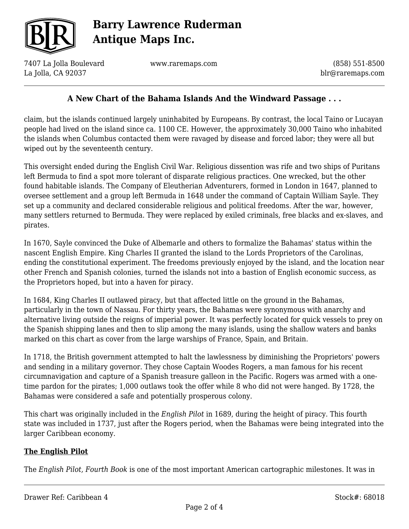

7407 La Jolla Boulevard La Jolla, CA 92037

www.raremaps.com

(858) 551-8500 blr@raremaps.com

### **A New Chart of the Bahama Islands And the Windward Passage . . .**

claim, but the islands continued largely uninhabited by Europeans. By contrast, the local Taino or Lucayan people had lived on the island since ca. 1100 CE. However, the approximately 30,000 Taino who inhabited the islands when Columbus contacted them were ravaged by disease and forced labor; they were all but wiped out by the seventeenth century.

This oversight ended during the English Civil War. Religious dissention was rife and two ships of Puritans left Bermuda to find a spot more tolerant of disparate religious practices. One wrecked, but the other found habitable islands. The Company of Eleutherian Adventurers, formed in London in 1647, planned to oversee settlement and a group left Bermuda in 1648 under the command of Captain William Sayle. They set up a community and declared considerable religious and political freedoms. After the war, however, many settlers returned to Bermuda. They were replaced by exiled criminals, free blacks and ex-slaves, and pirates.

In 1670, Sayle convinced the Duke of Albemarle and others to formalize the Bahamas' status within the nascent English Empire. King Charles II granted the island to the Lords Proprietors of the Carolinas, ending the constitutional experiment. The freedoms previously enjoyed by the island, and the location near other French and Spanish colonies, turned the islands not into a bastion of English economic success, as the Proprietors hoped, but into a haven for piracy.

In 1684, King Charles II outlawed piracy, but that affected little on the ground in the Bahamas, particularly in the town of Nassau. For thirty years, the Bahamas were synonymous with anarchy and alternative living outside the reigns of imperial power. It was perfectly located for quick vessels to prey on the Spanish shipping lanes and then to slip among the many islands, using the shallow waters and banks marked on this chart as cover from the large warships of France, Spain, and Britain.

In 1718, the British government attempted to halt the lawlessness by diminishing the Proprietors' powers and sending in a military governor. They chose Captain Woodes Rogers, a man famous for his recent circumnavigation and capture of a Spanish treasure galleon in the Pacific. Rogers was armed with a onetime pardon for the pirates; 1,000 outlaws took the offer while 8 who did not were hanged. By 1728, the Bahamas were considered a safe and potentially prosperous colony.

This chart was originally included in the *English Pilot* in 1689, during the height of piracy. This fourth state was included in 1737, just after the Rogers period, when the Bahamas were being integrated into the larger Caribbean economy.

#### **The English Pilot**

The *English Pilot, Fourth Book* is one of the most important American cartographic milestones. It was in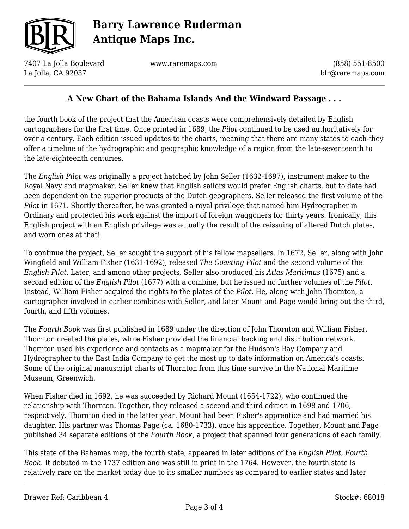

7407 La Jolla Boulevard La Jolla, CA 92037

www.raremaps.com

(858) 551-8500 blr@raremaps.com

### **A New Chart of the Bahama Islands And the Windward Passage . . .**

the fourth book of the project that the American coasts were comprehensively detailed by English cartographers for the first time. Once printed in 1689, the *Pilot* continued to be used authoritatively for over a century. Each edition issued updates to the charts, meaning that there are many states to each-they offer a timeline of the hydrographic and geographic knowledge of a region from the late-seventeenth to the late-eighteenth centuries.

The *English Pilot* was originally a project hatched by John Seller (1632-1697), instrument maker to the Royal Navy and mapmaker. Seller knew that English sailors would prefer English charts, but to date had been dependent on the superior products of the Dutch geographers. Seller released the first volume of the *Pilot* in 1671. Shortly thereafter, he was granted a royal privilege that named him Hydrographer in Ordinary and protected his work against the import of foreign waggoners for thirty years. Ironically, this English project with an English privilege was actually the result of the reissuing of altered Dutch plates, and worn ones at that!

To continue the project, Seller sought the support of his fellow mapsellers. In 1672, Seller, along with John Wingfield and William Fisher (1631-1692), released *The Coasting Pilot* and the second volume of the *English Pilot*. Later, and among other projects, Seller also produced his *Atlas Maritimus* (1675) and a second edition of the *English Pilot* (1677) with a combine, but he issued no further volumes of the *Pilot*. Instead, William Fisher acquired the rights to the plates of the *Pilot.* He, along with John Thornton, a cartographer involved in earlier combines with Seller, and later Mount and Page would bring out the third, fourth, and fifth volumes.

The *Fourth Book* was first published in 1689 under the direction of John Thornton and William Fisher. Thornton created the plates, while Fisher provided the financial backing and distribution network. Thornton used his experience and contacts as a mapmaker for the Hudson's Bay Company and Hydrographer to the East India Company to get the most up to date information on America's coasts. Some of the original manuscript charts of Thornton from this time survive in the National Maritime Museum, Greenwich.

When Fisher died in 1692, he was succeeded by Richard Mount (1654-1722), who continued the relationship with Thornton. Together, they released a second and third edition in 1698 and 1706, respectively. Thornton died in the latter year. Mount had been Fisher's apprentice and had married his daughter. His partner was Thomas Page (ca. 1680-1733), once his apprentice. Together, Mount and Page published 34 separate editions of the *Fourth Book*, a project that spanned four generations of each family.

This state of the Bahamas map, the fourth state, appeared in later editions of the *English Pilot, Fourth Book*. It debuted in the 1737 edition and was still in print in the 1764. However, the fourth state is relatively rare on the market today due to its smaller numbers as compared to earlier states and later